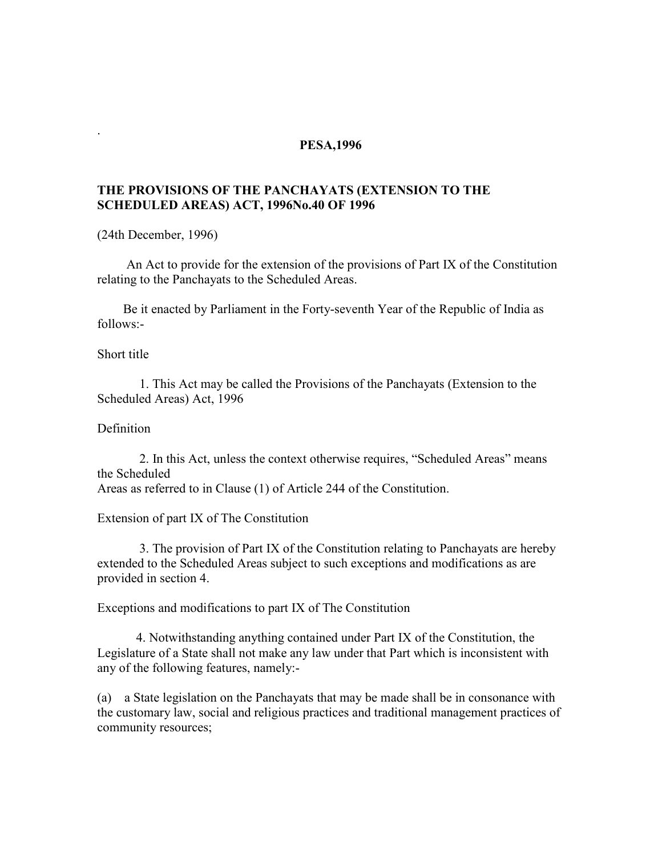## PESA,1996

# THE PROVISIONS OF THE PANCHAYATS (EXTENSION TO THE SCHEDULED AREAS) ACT, 1996No.40 OF 1996

(24th December, 1996)

 An Act to provide for the extension of the provisions of Part IX of the Constitution relating to the Panchayats to the Scheduled Areas.

 Be it enacted by Parliament in the Forty-seventh Year of the Republic of India as follows:-

#### Short title

.

 1. This Act may be called the Provisions of the Panchayats (Extension to the Scheduled Areas) Act, 1996

## Definition

 2. In this Act, unless the context otherwise requires, "Scheduled Areas" means the Scheduled Areas as referred to in Clause (1) of Article 244 of the Constitution.

#### Extension of part IX of The Constitution

 3. The provision of Part IX of the Constitution relating to Panchayats are hereby extended to the Scheduled Areas subject to such exceptions and modifications as are provided in section 4.

Exceptions and modifications to part IX of The Constitution

 4. Notwithstanding anything contained under Part IX of the Constitution, the Legislature of a State shall not make any law under that Part which is inconsistent with any of the following features, namely:-

(a) a State legislation on the Panchayats that may be made shall be in consonance with the customary law, social and religious practices and traditional management practices of community resources;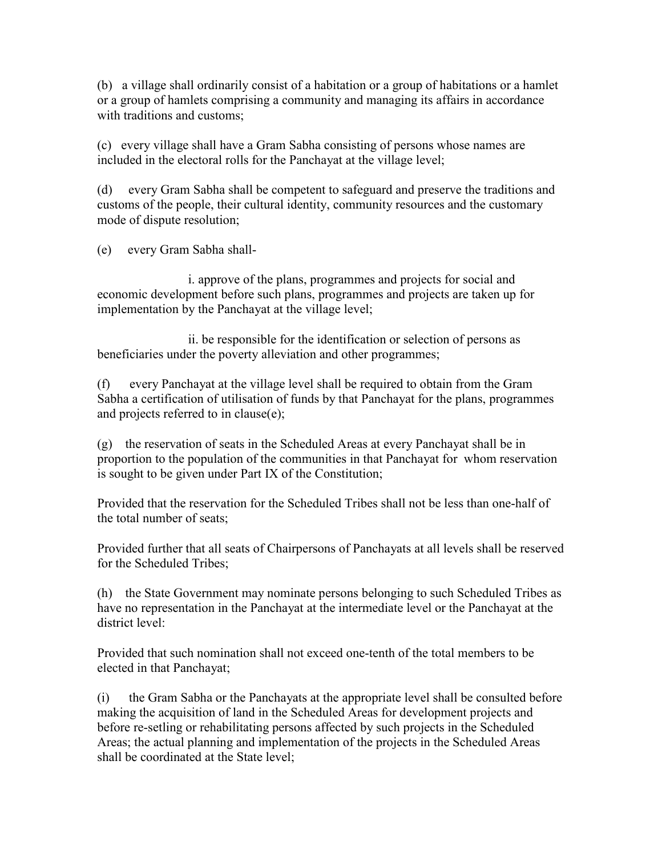(b) a village shall ordinarily consist of a habitation or a group of habitations or a hamlet or a group of hamlets comprising a community and managing its affairs in accordance with traditions and customs;

(c) every village shall have a Gram Sabha consisting of persons whose names are included in the electoral rolls for the Panchayat at the village level;

(d) every Gram Sabha shall be competent to safeguard and preserve the traditions and customs of the people, their cultural identity, community resources and the customary mode of dispute resolution;

(e) every Gram Sabha shall-

 i. approve of the plans, programmes and projects for social and economic development before such plans, programmes and projects are taken up for implementation by the Panchayat at the village level;

 ii. be responsible for the identification or selection of persons as beneficiaries under the poverty alleviation and other programmes;

(f) every Panchayat at the village level shall be required to obtain from the Gram Sabha a certification of utilisation of funds by that Panchayat for the plans, programmes and projects referred to in clause(e);

(g) the reservation of seats in the Scheduled Areas at every Panchayat shall be in proportion to the population of the communities in that Panchayat for whom reservation is sought to be given under Part IX of the Constitution;

Provided that the reservation for the Scheduled Tribes shall not be less than one-half of the total number of seats;

Provided further that all seats of Chairpersons of Panchayats at all levels shall be reserved for the Scheduled Tribes;

(h) the State Government may nominate persons belonging to such Scheduled Tribes as have no representation in the Panchayat at the intermediate level or the Panchayat at the district level:

Provided that such nomination shall not exceed one-tenth of the total members to be elected in that Panchayat;

(i) the Gram Sabha or the Panchayats at the appropriate level shall be consulted before making the acquisition of land in the Scheduled Areas for development projects and before re-setling or rehabilitating persons affected by such projects in the Scheduled Areas; the actual planning and implementation of the projects in the Scheduled Areas shall be coordinated at the State level;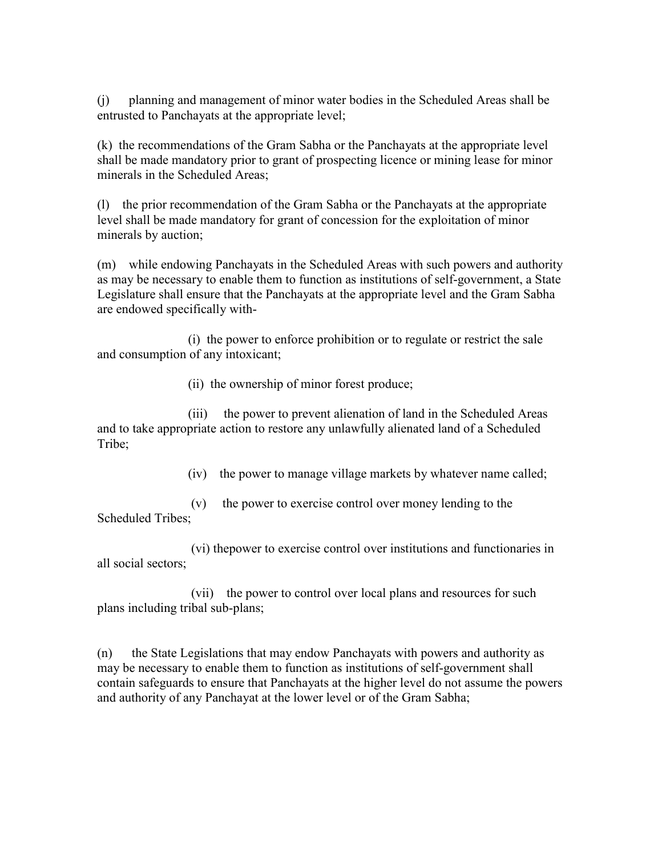(j) planning and management of minor water bodies in the Scheduled Areas shall be entrusted to Panchayats at the appropriate level;

(k) the recommendations of the Gram Sabha or the Panchayats at the appropriate level shall be made mandatory prior to grant of prospecting licence or mining lease for minor minerals in the Scheduled Areas;

(l) the prior recommendation of the Gram Sabha or the Panchayats at the appropriate level shall be made mandatory for grant of concession for the exploitation of minor minerals by auction;

(m) while endowing Panchayats in the Scheduled Areas with such powers and authority as may be necessary to enable them to function as institutions of self-government, a State Legislature shall ensure that the Panchayats at the appropriate level and the Gram Sabha are endowed specifically with-

 (i) the power to enforce prohibition or to regulate or restrict the sale and consumption of any intoxicant;

(ii) the ownership of minor forest produce;

 (iii) the power to prevent alienation of land in the Scheduled Areas and to take appropriate action to restore any unlawfully alienated land of a Scheduled Tribe:

(iv) the power to manage village markets by whatever name called;

 (v) the power to exercise control over money lending to the Scheduled Tribes;

 (vi) thepower to exercise control over institutions and functionaries in all social sectors;

 (vii) the power to control over local plans and resources for such plans including tribal sub-plans;

(n) the State Legislations that may endow Panchayats with powers and authority as may be necessary to enable them to function as institutions of self-government shall contain safeguards to ensure that Panchayats at the higher level do not assume the powers and authority of any Panchayat at the lower level or of the Gram Sabha;